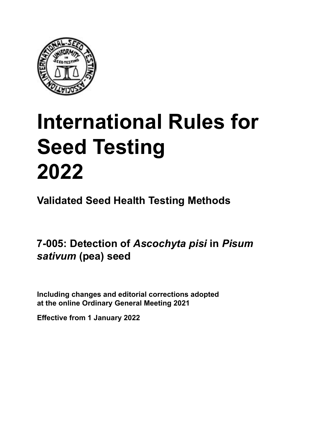

# **International Rules for Seed Testing von Saatgut 2022 2022 Semences 2022 International Rules for Seed Testing 2022**

**Métodos Validados para Análisis de Sanidad de Semillas Validate Méthodes Validées pour Analyse Sanitaire des Semences Validated Seed Health Testing Methods**

7-005: Detection of *Ascochyta pisi* in *Pisum Pisum sativum* **(arveja) von** *Pisum sativum* **(Erbse) de** *Pisum sativum* **(pois)** *sativum* **(pea) seed**

Including changes and editorial corrections adopted at the online Ordinary General Meeting 2021

**Effective from 1 January 2022**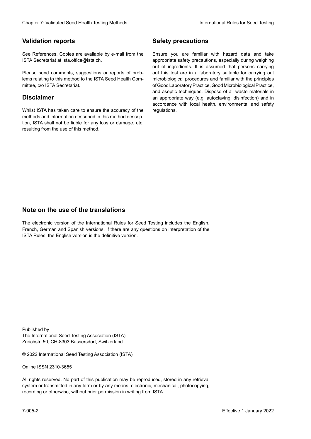## **Validation reports**

See References. Copies are available by e-mail from the<br>ISTA Secretariat at ista.office@ista.ch. ISTA Secretariat at ista.office@ista.ch.

lems relating to this method to the ISTA Seed Health Com-<br>mittee, c/o ISTA Secretariat. mittee, c/o ISTA Secretariat.<br>i Please send comments, suggestions or reports of prob-

## **Limitation de responsabilité Disclaimer**

Whilst ISTA has taken care to ensure the accuracy of the<br>methods and information described in this method description, ISTA shall not be liable for any loss or damage, etc.<br>resulting from the use of this method.<br>. resulting from the use of this method. Whilst ISTA has taken care to ensure the accuracy of the methods and information described in this method descrip-<br>tion, ISTA shall not be liable for any loss or damage, etc. tion, ISTA shall not be liable for any loss or damage, etc.<br>resulting from the use of this method.

## **Medidas de seguridad Sicherheitsmaßnahmen Sécurité Safety precautions**

Ensure you are familiar with hazard data and take Ensure you are familiar with hazard data and take<br>appropriate safety precautions, especially during weighing out of ingredients. It is assumed that persons carrying out this test are in a laboratory suitable for carrying out microbiological procedures and familiar with the principles of Good Laboratory Practice, Good Microbiological Practice, and aseptic techniques. Dispose of all waste materials in an appropriate way (e.g. autoclaving, disinfection) and in accordance with local health, environmental and safety regulations. Glade 7: Validated Deed Health Testing holesdos<br>
Gallet Corresponds<br>
Validation responds with a statistic by e-mail four ole Simuar you are Smithty Health Nasard date and shift<br>
GMS Decretors at statistic displaces,<br>
Simua microbiological procedures and familiar with the principles<br>of Good Laboratory Practice, Good Microbiological Practice,<br>and aseptic techniques. Dispose of all waste materials in<br>an appropriate way (e.g. autoclaving, disinf fallstoffe sind auf geeignete Weise und entsprechend der vor Ort über der vor Ort über und Umwelt- und Umwelt-<br>Eine und Umwelt-Effective Counter of Nicholas Devel Teach Teach Teach Devel<br>
Yaristandino reports<br>
Yaristandino reports<br>
Semente Revise sanitale by e-real form one Some year and carb case of the based delayed by<br>
Since Revise sanitale des of Good Laboratory Practice, Good Microbiological Practice,<br>and aseptic techniques. Dispose of all waste materials in<br>an appropriate way (e.g. autoclaving, disinfection) and in Validation reports<br>
Since The Texture 1988 and the system of the Since Theorem and the Since Theorem and the system of the Since The Since The Since The Since The Since The Since The Since The Since The Since The Since The Ensure you are familiar with hazard data and take<br>appropriate safety precautions, especially during weighing<br>out of ingredients. It is assumed that persons carrying<br>out this test are in a laboratory suitable for carrying o

## **Nota sobre el uso de traducciones Anmerkung zur Benutzung der Übersetzungen Note on the use of the translations**

The electronic version of the International Rules for Seed Testing includes the English, French, German and Spanish versions. If there are any questions on interpretation of the ISTA Rules, the English version is the definitive version. The electronic version of the International Rules for Seed Testing includes the English,<br>French, German and Spanish versions. If there are any questions on interpretation of the<br>ISTA Rules, the English version is the defin The electronic version of the International Rules for Seed Testing includes the English,<br>French, German and Spanish versions. If there are any questions on interpretation of the

Published by **Extending Association (ISTA)** The International Seed Testing Association (ISTA) Zürichstr. 50, CH-8303 Bassersdorf, Switzerland

© 2022 International Seed Testing Association (ISTA)

Alle Rechte vorbehalten. Kein Teil dieses Werkes darf in irgendwelcher Form oder durch Online ISSN 2310-3655

All rights reserved. No part of this publication may be reproduced, stored in any retrieval All rights reserved. No part of this publication may be reproduced, stored in any retrieval<br>system or transmitted in any form or by any means, electronic, mechanical, photocopying,<br>recording or otherwise, without prior per recording or otherwise, without prior permis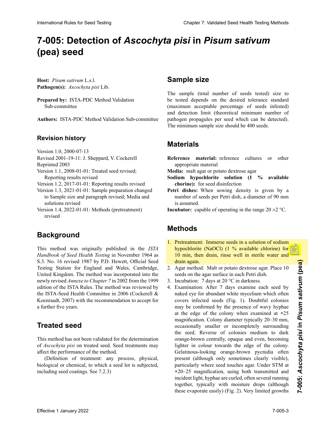# 7-005: Detection of Ascoc*hyta pisi* in *Pisum sativum Pisum sativum* **(arveja)** *Pisum sativum***(Erbse) (pea) seed**

**Hospedante:** *Pisum sativum* L.s.l. **Wirtspflanze:** *Pisum sativum* L.s.l. **Hôte :** *Pisum sativum* L.s.l. **Host:** *Pisum sativum* L.s.l. Pathogen(s): Ascochyta pisi Lib.

Prepared by: ISTA-PDC Method Validation Sub-committee

**Autores:** ISTA-PDC Method Validation Sub-committee **Autoren:** ISTA-PDC Method Validation Sub-committee **Auteurs :** Sous-Comité de Validation des Méthodes de **Authors:** ISTA-PDC Method Validation Sub-committee

### **Historial de revisiones Revisionsstand Historique de la révision Revision history**

Versión 1.0, 2000-07-13 Version Version 1.0, 2000-07-13 Version 1.0,  $2000 - 07 - 13$ 

VEISION 1.0, 2000-07-13<br> $R_{\text{L}}$ : 1.2001.10.11: J. Sheppard, V. Co. 1, 11:  $R$ evised 2001-1 version 1.0, 2000-07-13<br> $P_1$ : 1.2001.10.11, J. Cl. 1.1, J. C. 1.1, J.  $R$ evised  $2001$ -Revised 2001-19-11: J. Sheppard, V. Cockerell

Reprinted 2003

- $\text{Keprimea } 2003$ sion 1.1, 2008-01-01: Trea Reporting results revised  $\text{Keprimeq } 2003$ Version 1.1, 2008-01-01: Treated seed revised;
- Version 1.2, 2017-01-01: Reporting results revised
- Version 1.3, 2021-01-01: Sample preparation changed to Sample size and paragraph revised; Media and solutions revised
- Version 1.4, 2022-01-01: Methods (pretreatment) revised

### **Antecedentes Hintergrund Background Historique**

This method was originally published in the *ISTA* Handbook of Seed Health Testing in November 1964 as S.3. No. 16 revised 1987 by P.D. Hewett, Official Seed Testing Station for England and Wales, Cambridge, United Kingdom. The method was incorporated into the<br>newly revised *Annexe to Chapter* 7 in 2002 from the 1999<br>edition of the ISTA Rules. The method was reviewed by newly revised *Annexe to Chapter 7* in 2002 from the 1999 edition of the ISTA Rules. The method was reviewed by the ISTA-Seed Health Committee in 2006 (Cockerell & Koenraadt, 2007) with the recommendation to accept for a further five years.

#### $\sum_{i=1}^{n}$ Diese Methode ist nicht validiert für die Bestimmung von **Treated seed**

This method has not been validated for the determination  $\frac{1}{2}$  milla pueden afectar el desempeño de método.  $\frac{1}{2}$ ance que performance of the method.  $g_{\text{eff}}$  and  $g_{\text{eff}}$  and  $g_{\text{eff}}$  and  $g_{\text{eff}}$  are  $g_{\text{eff}}$ bet *Ascochylu pist* on treated seed, seed treatments may ance uit performance of the method. *d Association pierre sur sur sur sur sements* traited to the determination of *Ascochyta pisi* on treated seed. Seed treatments may ance the performance of the method. affect the performance of the method.

(Definition of treatment: any pro (Definition of treatment, any process, physical, biological or chemical, to which a seed lot is subjected, (Definition of treatment: any process, physical, including seed coatings. See 7.2.3)

# **Sample size**

The sample (total number of seeds tested) size to be tested depends on the desired tolerance standard (maximum acceptable percentage of seeds infested)<br>and detection limit (theoretical minimum number of<br>pathogen propagules per seed which can be detected).<br>The minimum sample size should be 400 seeds. and detection limit (theoretical minimum number of mat decoden mint (infectious minimum nameer of parrogen propagares per seca winen eur ce accesseur. semillas. patrogen propagares per social which can be detected. The minimum sample size should be 400 seeds.

# **Materiales Material Matériel Materials**

- Reference material: reference cultures or other appropriate material
- **Media:** malt agar or potato dextrose agar
- Sodium hypochlorite solution (1 % available **chorine):** for seed disinfection
- **Petri dishes:** When sowing density is given by a **Petri dishes:** When sowing density is given by a number of seeds per Petri dish, a diameter of 90 mm is assumed. number of seeds per Petri dish, a diameter of 90 mm.<br>is assumed.
- **Incubator:** capable of operating in the range  $20 \pm 2$  °C.

# **Métodos Methoden MéthodesMethods**

- 1. Pretreatment: Immerse seeds in a solution of sodium<br>hypochlorite (NaOCl) (1 % available chlorine) for<br>10 min, then drain, rinse well in sterile water and<br>drain again. hypochlorite (NaOCl) (1 % available chlorine) for 10 min, then drain, rinse well in sterile water and drain again. Wasser gut abspülen und abspülen und abspülen lassen.
- 2. Agar method: Malt or potato dextrose agar. Place 10 seeds on the agar surface in each Petri dish.
- 3. Incubation:  $7$  days at 20 °C in darkness.
- 4. Examination: After 7 days examine each seed by<br>naked eye for abundant white mycelium which often<br>covers infected seeds  $(Fig, 1)$  Doubtful colonies naked eye for abundant white mycelium which often covers infected seeds (Fig. 1). Doubtful colonies may be confirmed by the presence of wavy hyphae erung are community but protein to bord grapping at the edge of the colony when examined at **×**25 are the edge of the ecolory when enamined at 25.<br>magnification. Colony diameter typically 20–30 mm, ocasionally smaller or incompletely surrounding the seed. Reverse of colonies medium to dark<br>orange-brown centrally, opaque and even, becoming<br>lighter in colour towards the edge of the colony. orange-brown centrally, opaque and even, becoming orange-brown centrally, opaque and even, becoming  $p_{\text{r}}$  between a large-blown colorations, operator and color, occurring nginer in colour towards the edge of the colony. Gelatinous-looking orange-brown pycnidia often present (although only sometimes clearly visible), Detail<br>present (although only sometimes clearly visible),<br>particularly where seed touches agar. Under STM at ×20–25 magnification, using both transmitted and incident light, hyphae are curled, often several running together, typically with moisture drops (although together, typically with moisture drops (although these evaporate easily) (Fig. 2). Very limited growths diange-drown centrally, opaque and even, occoming lighter in colour towards the edge of the colony. International Rules for Seed Testing Compact Control Compact Chapter 2: Seed Testing Chapter 2: Seed Testing Chapter 2: Seed Testing Chapter 2: Validated Testing Chapter 2: Validated Testing Chapter 2: Validated Testing C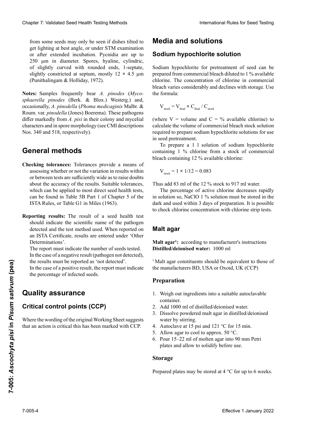from some seeds may only be seen if dishes tilted to from some seeds may only be seen if dishes tilted to<br>get lighting at best angle, or under STM examination or after extended incubation. Pycnidia are up to 250 µm in diameter. Spores, hyaline, cylindric, of slightly curved with rounded ends, 1-septate,<br>slightly constricted at septum, mostly  $12 \times 4.5$  um slightly constricted at septum, mostly  $12 \times 4.5 \mu m$ <br>(Punithalingam & Holliday, 1972). (Punithalingam & Holliday, 1972).  $250$   $\mu$ . Las espo $\mu$ get lighting at best angle, or under STM examination<br>or after extended incubation. Pycnidia are up to<br>250 µm in diameter. Spores, hyaline, cylindric, or after extended incubation. Pycnidia are up to

Notes: Samples frequently bear A. pinodes (Myco*sphaerella pinodes* (Berk. & Blox.) Westerg.) and,<br>occasionally 4 ninodella (Phoma medicaginis Malbr & 12 **×** 4,5 µm (Punithalingam & Holliday, 1972). **Anmerkung:** Die Proben sind auch häufig infiziert mit occasionally, *A. pinodella* (*Phoma medicaginis* Malbr. & differ markedly from A. pisi in their colony and mycelial amer maneury nom n, pist in aien colony and injecture simulately and inspect morphology (see CMT descriptions) Nos. 340 and 518, respectively). Clearly 1. System ab 1. System with the system of the system of the system of the system of the system of the system of the system of the system of the system of the system of the system of the system of the system of the *A. pinodes (Mycosphaerella pinodes* (Berk. & Blox.) (*Phoma medicaginis* Malbr. & Roum. var. *pinodella* Roum. var. *pinodella* (Jones) Boerema). These pathogens ancer malhearly from 11. *pint* in ancheorology (see CMI descriptions) Cheaper 7 Voldskeid Sesel Health Foring Medical Lines internalistics between the content of the content of the content of the content of the content of the content of the content of the content of the content of the conte

### rísticas miceliales y en la morfología de las esporas (ver descripciones CMI Nos. 340 y 518, respectivamente). **Méthodes générales General methods**

- assessing whether or not the variation in results within about the accuracy of the results. Suitable tolerances, about the accuracy of the results. Suitable tolerances,<br>which can be applied to most direct seed health tests, can be found in Table 5B Part 1 of Chapter 5 of the can be found in Table 5B Part 1 of Chapter 5 of the<br>ISTA Rules, or Table G1 in Miles (1963). **Allgemeine Methoden** or between tests are sufficiently wide as to raise doubts **Checking tolerances:** Tolerances provide a means of
- Reporting results: The result of a seed health test **Reporting results:** The result of a seed health test should indicate the scientific name of the pathogen detected and the test method used. When reported on an ISTA Certificate, results are entered under 'Other Determinations'.

The report must indicate the number of seeds tested. In the case of a negative result (pathogen not detected), the results must be reported as 'not detected'. The report must indicate the number of seeds tested.<br>In the case of a negative result (pathogen not detected),<br>the results must be reported as 'not detected'.<br>In the case of a positive result, the report must indicate In the case of a negative result (pathogen not detected),

In the case of a positive result, the report must indicate the percentage of infected seeds. El informe debe indicar el número de semillas angeben. Dans le cas d'un résultat positif, le rapport doit indi-

#### Ouality assurance negativo (patógeno negativo en un resultado no detectado), los resultados deben ser informados como 'no reger nicht nachgewiesen die Ergebnisse als die Ergebnisse als die Ergebnisse als eine Ergebnisse als eine Erg **Quality assurance**

#### itical coi  $\sum_{i=1}^{n}$  $\frac{1}{2}$ ifical control points (CCP) richt den Prozentsatz infizierter Samen angeben.<br>Samen angeben **Critical control points (CCP)**

Where the wording of the original Working Sheet suggests that an action is critical this has been marked with CCP. Effective 1 Microsoft and the exportance of a brother counter.<br>
In the case of a positive result, the report must indicate<br>
the percentage of infected seeds.<br> **Picture 1** Alta agar on the same of a picture of section of th

# **Medios y soluciones Medien und Lösungen Milieux et solutions Media and solutions**

## $S$ odium hypochlorite solution

Sodium hypochlorite for pretreatment of seed can be prepared from commercial bleach diluted to 1 % available chlorine. The concentration of chlorine in commercial<br>bleach varies considerably and declines with storage Use bleach varies considerably and declines with storage. Use the formula:

$$
\rm V_{\rm stock} = V_{\rm final} \times C_{\rm final} \, / \, C_{\rm stock}
$$

(where  $V =$  volume and  $C = %$  available chlorine) to calculate the volume of commercial bloods atools colution el volume due of volumental bleach stock solution cial regular requestra preparar la solución de hipochonica sodia el prepare sodiam ny poemorite. para preparar 1 l de solución de la solución de hipoclorito de solución de solución de solución de solución de<br>Por acomposición de la contradición de solución de solución de solución de solución de la contradición de la c required to prepare sodium hypochlorite solutions for use in seed pretreatment.

To prepare a 1 1 solution of sodium hypochlorite containing 1 % chlorine from a stock of commercial  $\alpha$  or  $\alpha$  is a  $\alpha$  and  $\alpha$  and  $\alpha$  is containing  $\alpha$  is a symbol is the containing  $\alpha$  $\frac{1}{2}$  o chlorine from a stock obleach containing 12 % available chlorine:

$$
V_{\text{stock}} = 1 \times 1/12 = 0.083
$$

Por lo tanto, añadir 83 ml del stock al 12 % para 917 ml Thus add 83 ml of the 12 % stock to 917 ml water. Thus add 83 ml of the 12 % stock to 917 ml water.

The percentage of active chlorine decreases rapidly The percentage of active chlorine decreases rapidly<br>in solution so, NaClO 1 % solution must be stored in the dark and used within 3 days of preparation. It is possible to check chlorine concentration with chlorine strip tests.

## gelagert und innerhalb von 3 Tagen nach der Zubereitung **Malt agar**

**Distilled/deionised water:** 1000 ml Malt agar<sup>1</sup>: according to manufacturer's instructions

the manufacturers BD, USA or Oxoid, UK (CCP) <sup>1</sup> Malt agar constituents should be equivalent to those of

## **Designation**

- 1. Weigh out ingredients into a suitable autoclavable lerfirmen BD (USA) oder Oxoid (UK) entsprechen. container.
- 2. Add 1000 ml of distilled/deionised water.
- adecuado.<br>Dissolve 2. Bisson e powdered man agar in distinct desion 3. **Here** 100 must be water to make again distinct to water by stirring. approprié. 3. Dissolve powdered malt agar in distilled/deionised
- 3. Autoclave at 15 psi and 121 °C for 15 min.
- 1. Additive at 15 pst and 121 °C for 15 min.<br>5. Allow agar to cool to approx.  $50^{\circ}$ C.
- $\frac{1}{2}$ . Allow again cool to approx.  $\frac{1}{2}0^{2}$  c.  $\frac{1}{10}$  but  $\frac{1}{10}$   $\frac{1}{10}$  in the friend friend from  $\frac{1}{10}$  and  $\frac{1}{10}$  and  $\frac{1}{10}$  and  $\frac{1}{10}$  and  $\frac{1}{10}$  and  $\frac{1}{10}$  and  $\frac{1}{10}$  and  $\frac{1}{10}$  and  $\frac{1}{10}$  and  $\frac{1}{10}$  and  $\frac{1}{10$ plates and allow to solidity before use.  $\frac{1}{n}$  1  $2.100112 - 22$  m of monen again to 90 mm Feur  $\frac{3.6}{2.6}$  Pour 15–22 ml of molten agar into 90 mm Petri  $5. \text{I} \text{O} \text{a} \quad \text{I} \quad \text{I} \quad \text{I} \quad \text{I} \quad \text{I} \quad \text{I} \quad \text{I} \quad \text{I} \quad \text{I} \quad \text{I} \quad \text{I} \quad \text{I} \quad \text{I} \quad \text{I} \quad \text{I} \quad \text{I} \quad \text{I} \quad \text{I} \quad \text{I} \quad \text{I} \quad \text{I} \quad \text{I} \quad \text{I} \quad \text{I} \quad \text{I} \quad \text{I} \quad \text{I} \quad \text{I} \quad \text{I}$ plates and allow to solidify before use.

#### $\frac{1}{2}$ . Bei 15 psi und 121 min autokolavieren.  $\frac{1}{2}$ **Storage**

**Almacenaje** 5. Agar auf ungefähr 50 °C abkühlen lassen. Prepared plates may be stored at 4 °C for up to 6 weeks.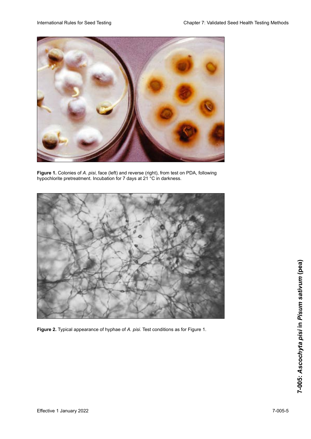

**Figure 1.** Colonies of *A. pisi*, face (left) and reverse (right), from test on PDA, following hypochlorite pretreatment. Incubation for 7 days at 21 °C in darkness. **Figure 1.** Colonies of *A. pisi*, face (left) and reverse (right), from test on PDA, following hypochlorite pretreatment. Incubation for 7 days at 21 °C in darkness. **Figure 1.** Colonies of *A. pisi*, face (left) and reverse (right), from test on PDA, following hypochlorite pretreatment. Incubation for 7 days at 21 °C in darkness. of *pisi*, face (left) and reverse (right), from test on PDA, following hypochlorite pretreatment. Incubation for 7 days at 21 °C in darkness.



Figure 2. Typical appearance of hyphae of A. pisi. Test conditions as for Figure 1.